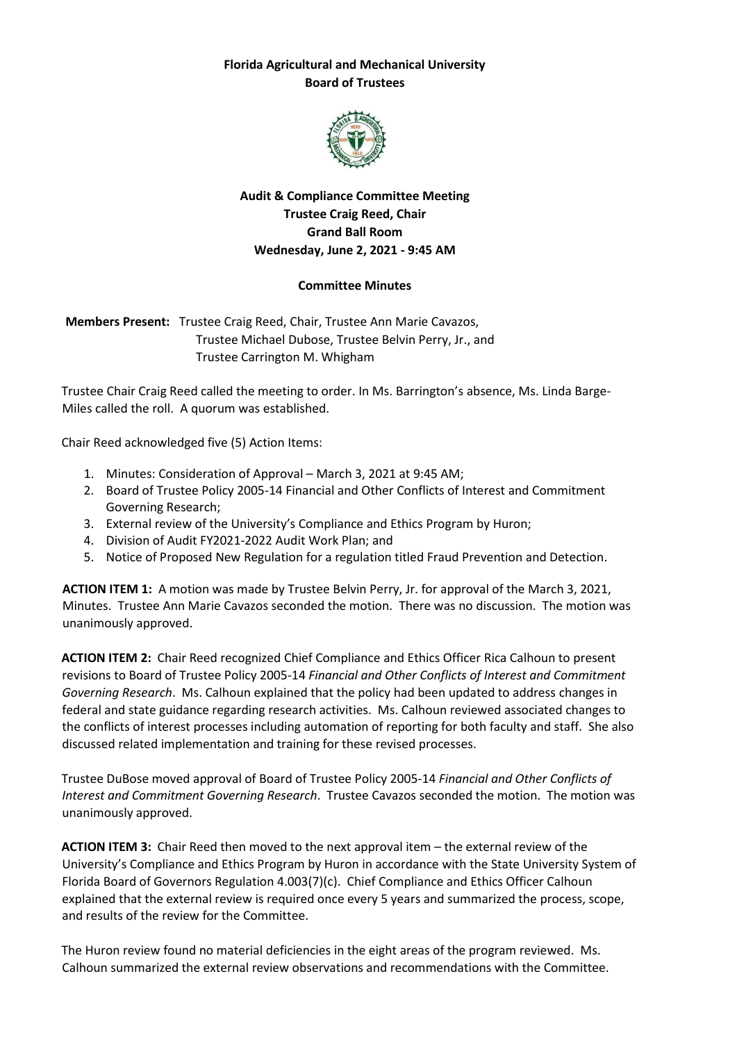## **Florida Agricultural and Mechanical University Board of Trustees**



## **Audit & Compliance Committee Meeting Trustee Craig Reed, Chair Grand Ball Room Wednesday, June 2, 2021 - 9:45 AM**

## **Committee Minutes**

**Members Present:** Trustee Craig Reed, Chair, Trustee Ann Marie Cavazos, Trustee Michael Dubose, Trustee Belvin Perry, Jr., and Trustee Carrington M. Whigham

Trustee Chair Craig Reed called the meeting to order. In Ms. Barrington's absence, Ms. Linda Barge-Miles called the roll. A quorum was established.

Chair Reed acknowledged five (5) Action Items:

- 1. Minutes: Consideration of Approval March 3, 2021 at 9:45 AM;
- 2. Board of Trustee Policy 2005-14 Financial and Other Conflicts of Interest and Commitment Governing Research;
- 3. External review of the University's Compliance and Ethics Program by Huron;
- 4. Division of Audit FY2021-2022 Audit Work Plan; and
- 5. Notice of Proposed New Regulation for a regulation titled Fraud Prevention and Detection.

**ACTION ITEM 1:** A motion was made by Trustee Belvin Perry, Jr. for approval of the March 3, 2021, Minutes. Trustee Ann Marie Cavazos seconded the motion. There was no discussion. The motion was unanimously approved.

**ACTION ITEM 2:** Chair Reed recognized Chief Compliance and Ethics Officer Rica Calhoun to present revisions to Board of Trustee Policy 2005-14 *Financial and Other Conflicts of Interest and Commitment Governing Research*. Ms. Calhoun explained that the policy had been updated to address changes in federal and state guidance regarding research activities. Ms. Calhoun reviewed associated changes to the conflicts of interest processes including automation of reporting for both faculty and staff. She also discussed related implementation and training for these revised processes.

Trustee DuBose moved approval of Board of Trustee Policy 2005-14 *Financial and Other Conflicts of Interest and Commitment Governing Research*. Trustee Cavazos seconded the motion. The motion was unanimously approved.

**ACTION ITEM 3:** Chair Reed then moved to the next approval item – the external review of the University's Compliance and Ethics Program by Huron in accordance with the State University System of Florida Board of Governors Regulation 4.003(7)(c). Chief Compliance and Ethics Officer Calhoun explained that the external review is required once every 5 years and summarized the process, scope, and results of the review for the Committee.

The Huron review found no material deficiencies in the eight areas of the program reviewed. Ms. Calhoun summarized the external review observations and recommendations with the Committee.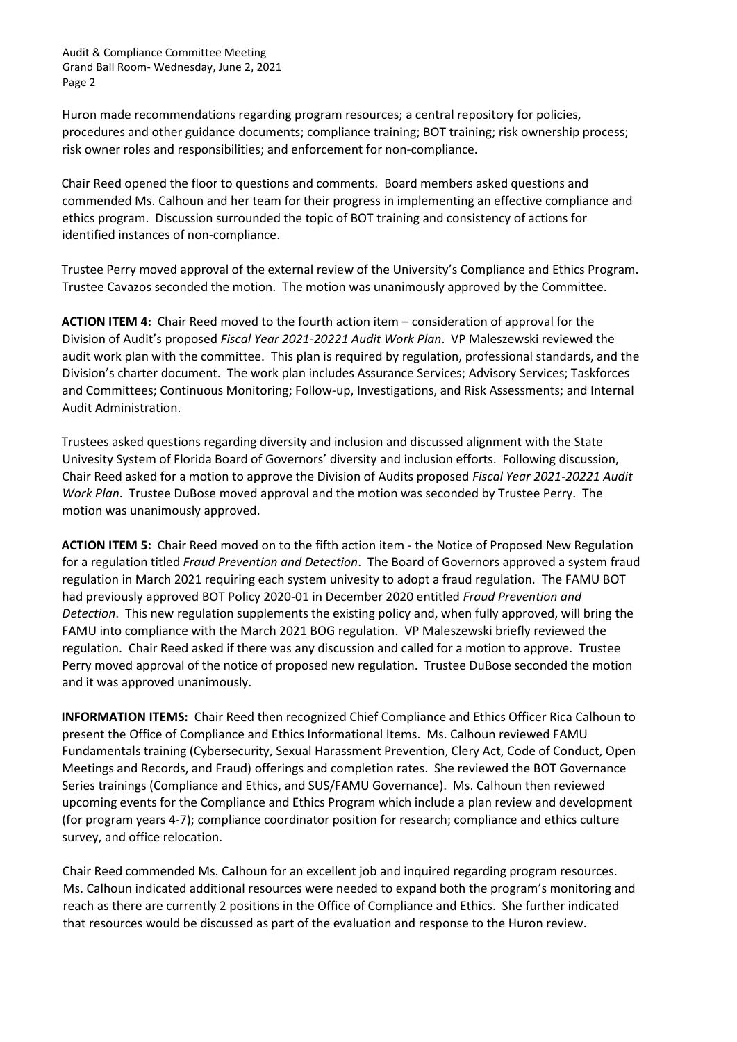Audit & Compliance Committee Meeting Grand Ball Room- Wednesday, June 2, 2021 Page 2

Huron made recommendations regarding program resources; a central repository for policies, procedures and other guidance documents; compliance training; BOT training; risk ownership process; risk owner roles and responsibilities; and enforcement for non-compliance.

Chair Reed opened the floor to questions and comments. Board members asked questions and commended Ms. Calhoun and her team for their progress in implementing an effective compliance and ethics program. Discussion surrounded the topic of BOT training and consistency of actions for identified instances of non-compliance.

Trustee Perry moved approval of the external review of the University's Compliance and Ethics Program. Trustee Cavazos seconded the motion. The motion was unanimously approved by the Committee.

**ACTION ITEM 4:** Chair Reed moved to the fourth action item – consideration of approval for the Division of Audit's proposed *Fiscal Year 2021-20221 Audit Work Plan*. VP Maleszewski reviewed the audit work plan with the committee. This plan is required by regulation, professional standards, and the Division's charter document. The work plan includes Assurance Services; Advisory Services; Taskforces and Committees; Continuous Monitoring; Follow-up, Investigations, and Risk Assessments; and Internal Audit Administration.

Trustees asked questions regarding diversity and inclusion and discussed alignment with the State Univesity System of Florida Board of Governors' diversity and inclusion efforts. Following discussion, Chair Reed asked for a motion to approve the Division of Audits proposed *Fiscal Year 2021-20221 Audit Work Plan*. Trustee DuBose moved approval and the motion was seconded by Trustee Perry. The motion was unanimously approved.

**ACTION ITEM 5:** Chair Reed moved on to the fifth action item - the Notice of Proposed New Regulation for a regulation titled *Fraud Prevention and Detection*. The Board of Governors approved a system fraud regulation in March 2021 requiring each system univesity to adopt a fraud regulation. The FAMU BOT had previously approved BOT Policy 2020-01 in December 2020 entitled *Fraud Prevention and Detection*. This new regulation supplements the existing policy and, when fully approved, will bring the FAMU into compliance with the March 2021 BOG regulation. VP Maleszewski briefly reviewed the regulation. Chair Reed asked if there was any discussion and called for a motion to approve. Trustee Perry moved approval of the notice of proposed new regulation. Trustee DuBose seconded the motion and it was approved unanimously.

**INFORMATION ITEMS:** Chair Reed then recognized Chief Compliance and Ethics Officer Rica Calhoun to present the Office of Compliance and Ethics Informational Items. Ms. Calhoun reviewed FAMU Fundamentals training (Cybersecurity, Sexual Harassment Prevention, Clery Act, Code of Conduct, Open Meetings and Records, and Fraud) offerings and completion rates. She reviewed the BOT Governance Series trainings (Compliance and Ethics, and SUS/FAMU Governance). Ms. Calhoun then reviewed upcoming events for the Compliance and Ethics Program which include a plan review and development (for program years 4-7); compliance coordinator position for research; compliance and ethics culture survey, and office relocation.

Chair Reed commended Ms. Calhoun for an excellent job and inquired regarding program resources. Ms. Calhoun indicated additional resources were needed to expand both the program's monitoring and reach as there are currently 2 positions in the Office of Compliance and Ethics. She further indicated that resources would be discussed as part of the evaluation and response to the Huron review.